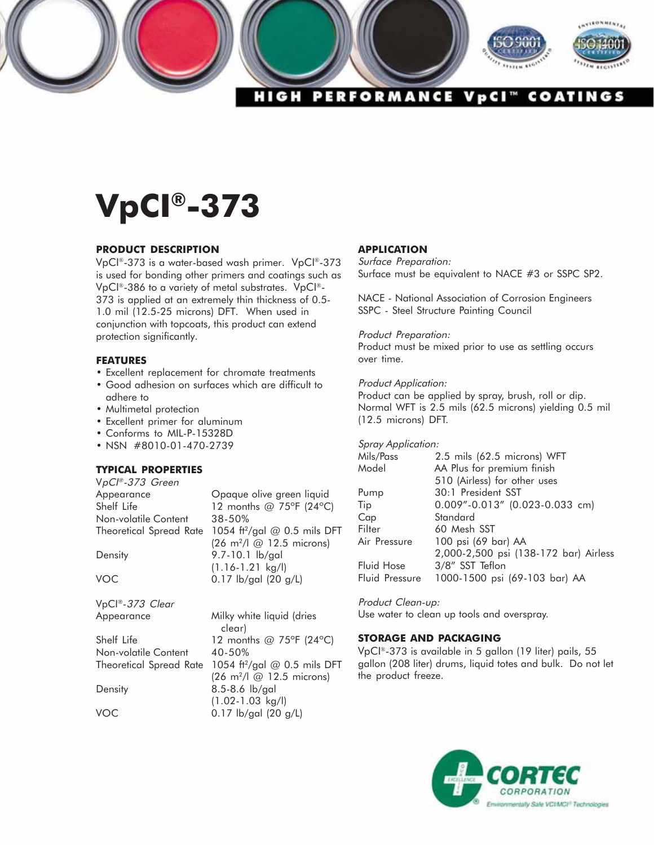

# **VpCI®-373**

## **PRODUCT DESCRIPTION**

VpCI®-373 is a water-based wash primer. VpCI®-373 is used for bonding other primers and coatings such as VpCI®-386 to a variety of metal substrates. VpCI®- 373 is applied at an extremely thin thickness of 0.5- 1.0 mil (12.5-25 microns) DFT. When used in conjunction with topcoats, this product can extend protection significantly.

## **FEATURES**

- Excellent replacement for chromate treatments
- Good adhesion on surfaces which are difficult to adhere to
- Multimetal protection
- Excellent primer for aluminum
- Conforms to MIL-P-15328D
- NSN #8010-01-470-2739

## **TYPICAL PROPERTIES**

| VpCl®-373 Green         |                                          |
|-------------------------|------------------------------------------|
| Appearance              | Opaque olive green liquid                |
| Shelf Life              | 12 months @ 75°F (24°C)                  |
| Non-volatile Content    | 38-50%                                   |
| Theoretical Spread Rate | 1054 ft <sup>2</sup> /gal @ 0.5 mils DFT |
|                         | (26 m <sup>2</sup> /l @ 12.5 microns)    |
| Density                 | 9.7-10.1 lb/gal                          |
|                         | $(1.16 - 1.21$ kg/l)                     |
| <b>VOC</b>              | $0.17$ lb/gal (20 g/L)                   |
|                         |                                          |
| VpCl®-373 Clear         |                                          |

Appearance Milky white liquid (dries clear) Shelf Life  $12$  months @ 75°F (24°C) Non-volatile Content 40-50% Theoretical Spread Rate 1054 ft<sup>2</sup>/gal @ 0.5 mils DFT (26 m2/l @ 12.5 microns) Density 8.5-8.6 lb/gal (1.02-1.03 kg/l) VOC 0.17 lb/gal (20 g/L)

### **APPLICATION**

Surface Preparation: Surface must be equivalent to NACE #3 or SSPC SP2.

NACE - National Association of Corrosion Engineers SSPC - Steel Structure Painting Council

### Product Preparation:

Product must be mixed prior to use as settling occurs over time.

#### Product Application:

Product can be applied by spray, brush, roll or dip. Normal WFT is 2.5 mils (62.5 microns) yielding 0.5 mil (12.5 microns) DFT.

### Spray Application:

| Mils/Pass      | 2.5 mils (62.5 microns) WFT           |
|----------------|---------------------------------------|
| Model          | AA Plus for premium finish            |
|                | 510 (Airless) for other uses          |
| Pump           | 30:1 President SST                    |
| Tip            | 0.009"-0.013" (0.023-0.033 cm)        |
| Cap            | Standard                              |
| Filter         | 60 Mesh SST                           |
| Air Pressure   | 100 psi (69 bar) AA                   |
|                | 2,000-2,500 psi (138-172 bar) Airless |
| Fluid Hose     | 3/8" SST Teflon                       |
| Fluid Pressure | 1000-1500 psi (69-103 bar) AA         |
|                |                                       |

Product Clean-up: Use water to clean up tools and overspray.

## **STORAGE AND PACKAGING**

VpCI®-373 is available in 5 gallon (19 liter) pails, 55 gallon (208 liter) drums, liquid totes and bulk. Do not let the product freeze.